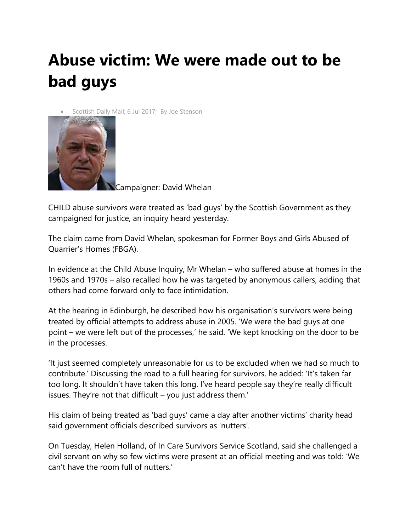## **Abuse victim: We were made out to be bad guys**

Scottish Daily Mail; 6 Jul 2017; By Joe Stenson



Campaigner: David Whelan

CHILD abuse survivors were treated as 'bad guys' by the Scottish Government as they campaigned for justice, an inquiry heard yesterday.

The claim came from David Whelan, spokesman for Former Boys and Girls Abused of Quarrier's Homes (FBGA).

In evidence at the Child Abuse Inquiry, Mr Whelan – who suffered abuse at homes in the 1960s and 1970s – also recalled how he was targeted by anonymous callers, adding that others had come forward only to face intimidation.

At the hearing in Edinburgh, he described how his organisation's survivors were being treated by official attempts to address abuse in 2005. 'We were the bad guys at one point – we were left out of the processes,' he said. 'We kept knocking on the door to be in the processes.

'It just seemed completely unreasonable for us to be excluded when we had so much to contribute.' Discussing the road to a full hearing for survivors, he added: 'It's taken far too long. It shouldn't have taken this long. I've heard people say they're really difficult issues. They're not that difficult – you just address them.'

His claim of being treated as 'bad guys' came a day after another victims' charity head said government officials described survivors as 'nutters'.

On Tuesday, Helen Holland, of In Care Survivors Service Scotland, said she challenged a civil servant on why so few victims were present at an official meeting and was told: 'We can't have the room full of nutters.'